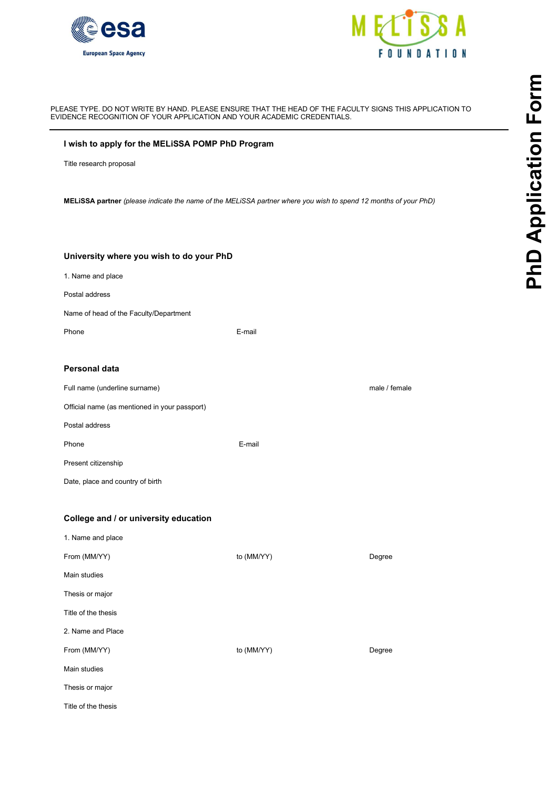



#### PLEASE TYPE. DO NOT WRITE BY HAND. PLEASE ENSURE THAT THE HEAD OF THE FACULTY SIGNS THIS APPLICATION TO EVIDENCE RECOGNITION OF YOUR APPLICATION AND YOUR ACADEMIC CREDENTIALS.

#### I wish to apply for the MELiSSA POMP PhD Program

### University where you wish to do your PhD

| 1. Name and place |  |
|-------------------|--|
|                   |  |

# Personal data

| Full name (underline surname)                 | male / female |
|-----------------------------------------------|---------------|
| Official name (as mentioned in your passport) |               |
| Postal address                                |               |

## College and / or university education

|                                                  | DENCE RECOGNITION OF YOUR APPLICATION AND YOUR ACADEMIC CREDENTIALS.                                            | ASE TYPE. DO NOT WRITE BY HAND. PLEASE ENSURE THAT THE HEAD OF THE FACULTY SIGNS THIS APPLICATION TO | Form        |
|--------------------------------------------------|-----------------------------------------------------------------------------------------------------------------|------------------------------------------------------------------------------------------------------|-------------|
| I wish to apply for the MELISSA POMP PhD Program |                                                                                                                 |                                                                                                      |             |
| Title research proposal                          |                                                                                                                 |                                                                                                      |             |
|                                                  | MELISSA partner (please indicate the name of the MELISSA partner where you wish to spend 12 months of your PhD) |                                                                                                      | Application |
| University where you wish to do your PhD         |                                                                                                                 |                                                                                                      |             |
| 1. Name and place                                |                                                                                                                 |                                                                                                      | Dha         |
| Postal address                                   |                                                                                                                 |                                                                                                      |             |
| Name of head of the Faculty/Department           |                                                                                                                 |                                                                                                      |             |
| Phone                                            | E-mail                                                                                                          |                                                                                                      |             |
| <b>Personal data</b>                             |                                                                                                                 |                                                                                                      |             |
| Full name (underline surname)                    |                                                                                                                 | male / female                                                                                        |             |
| Official name (as mentioned in your passport)    |                                                                                                                 |                                                                                                      |             |
| Postal address                                   |                                                                                                                 |                                                                                                      |             |
| Phone                                            | E-mail                                                                                                          |                                                                                                      |             |
| Present citizenship                              |                                                                                                                 |                                                                                                      |             |
| Date, place and country of birth                 |                                                                                                                 |                                                                                                      |             |
| College and / or university education            |                                                                                                                 |                                                                                                      |             |
| 1. Name and place                                |                                                                                                                 |                                                                                                      |             |
| From (MM/YY)                                     | to (MM/YY)                                                                                                      | Degree                                                                                               |             |
| Main studies                                     |                                                                                                                 |                                                                                                      |             |
| Thesis or major                                  |                                                                                                                 |                                                                                                      |             |
| Title of the thesis                              |                                                                                                                 |                                                                                                      |             |
| 2. Name and Place                                |                                                                                                                 |                                                                                                      |             |
| From (MM/YY)                                     | to (MM/YY)                                                                                                      | Degree                                                                                               |             |
| Main studies                                     |                                                                                                                 |                                                                                                      |             |
| Thesis or major                                  |                                                                                                                 |                                                                                                      |             |
| Title of the thesis                              |                                                                                                                 |                                                                                                      |             |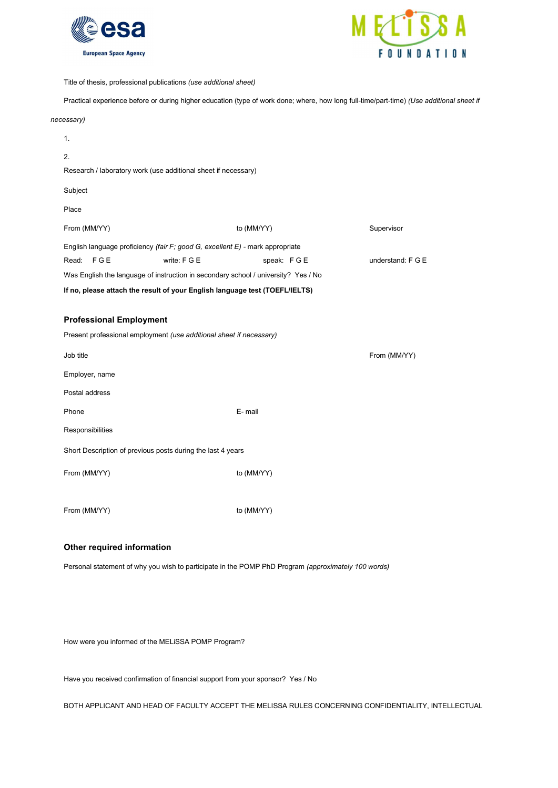



Title of thesis, professional publications (use additional sheet)

Practical experience before or during higher education (type of work done; where, how long full-time/part-time) (Use additional sheet if

#### necessary)

| 1.                                                                                   |              |            |                   |  |
|--------------------------------------------------------------------------------------|--------------|------------|-------------------|--|
| 2.                                                                                   |              |            |                   |  |
| Research / laboratory work (use additional sheet if necessary)                       |              |            |                   |  |
| Subject                                                                              |              |            |                   |  |
| Place                                                                                |              |            |                   |  |
| From (MM/YY)                                                                         |              | to (MM/YY) | Supervisor        |  |
| English language proficiency <i>(fair F; good G, excellent E)</i> - mark appropriate |              |            |                   |  |
| Read: FGE                                                                            | write: F G E | speak: FGE | understand: F G E |  |
| Was English the language of instruction in secondary school / university? Yes / No   |              |            |                   |  |
| If no, please attach the result of your English language test (TOEFL/IELTS)          |              |            |                   |  |
|                                                                                      |              |            |                   |  |

## Professional Employment

| Present professional employment (use additional sheet if necessary) |            |              |  |  |  |
|---------------------------------------------------------------------|------------|--------------|--|--|--|
| Job title                                                           |            | From (MM/YY) |  |  |  |
| Employer, name                                                      |            |              |  |  |  |
| Postal address                                                      |            |              |  |  |  |
| Phone                                                               | E-mail     |              |  |  |  |
| Responsibilities                                                    |            |              |  |  |  |
| Short Description of previous posts during the last 4 years         |            |              |  |  |  |
| From (MM/YY)                                                        | to (MM/YY) |              |  |  |  |
|                                                                     |            |              |  |  |  |
| From (MM/YY)                                                        | to (MM/YY) |              |  |  |  |

# Other required information

Personal statement of why you wish to participate in the POMP PhD Program (approximately 100 words)

How were you informed of the MELiSSA POMP Program?

Have you received confirmation of financial support from your sponsor? Yes / No

BOTH APPLICANT AND HEAD OF FACULTY ACCEPT THE MELISSA RULES CONCERNING CONFIDENTIALITY, INTELLECTUAL